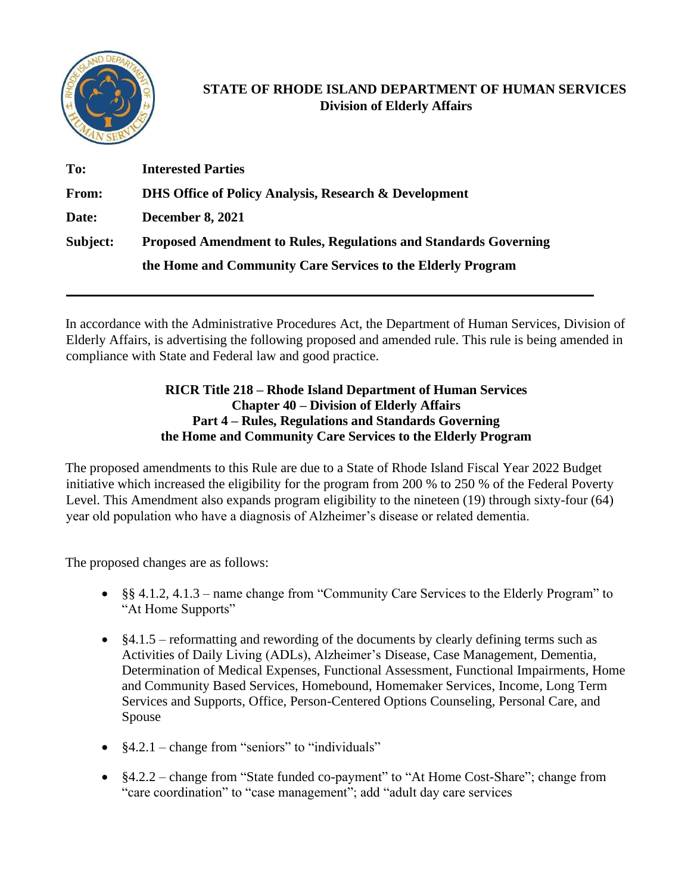

## **STATE OF RHODE ISLAND DEPARTMENT OF HUMAN SERVICES Division of Elderly Affairs**

| To:      | <b>Interested Parties</b>                                               |
|----------|-------------------------------------------------------------------------|
| From:    | <b>DHS Office of Policy Analysis, Research &amp; Development</b>        |
| Date:    | <b>December 8, 2021</b>                                                 |
| Subject: | <b>Proposed Amendment to Rules, Regulations and Standards Governing</b> |
|          | the Home and Community Care Services to the Elderly Program             |

In accordance with the Administrative Procedures Act, the Department of Human Services, Division of Elderly Affairs, is advertising the following proposed and amended rule. This rule is being amended in compliance with State and Federal law and good practice.

## **RICR Title 218 – Rhode Island Department of Human Services Chapter 40 – Division of Elderly Affairs Part 4 – Rules, Regulations and Standards Governing the Home and Community Care Services to the Elderly Program**

The proposed amendments to this Rule are due to a State of Rhode Island Fiscal Year 2022 Budget initiative which increased the eligibility for the program from 200 % to 250 % of the Federal Poverty Level. This Amendment also expands program eligibility to the nineteen (19) through sixty-four (64) year old population who have a diagnosis of Alzheimer's disease or related dementia.

The proposed changes are as follows:

- §§ 4.1.2, 4.1.3 name change from "Community Care Services to the Elderly Program" to "At Home Supports"
- §4.1.5 reformatting and rewording of the documents by clearly defining terms such as Activities of Daily Living (ADLs), Alzheimer's Disease, Case Management, Dementia, Determination of Medical Expenses, Functional Assessment, Functional Impairments, Home and Community Based Services, Homebound, Homemaker Services, Income, Long Term Services and Supports, Office, Person-Centered Options Counseling, Personal Care, and Spouse
- $§4.2.1 change from "seniors" to "individuals"$
- §4.2.2 change from "State funded co-payment" to "At Home Cost-Share"; change from "care coordination" to "case management"; add "adult day care services